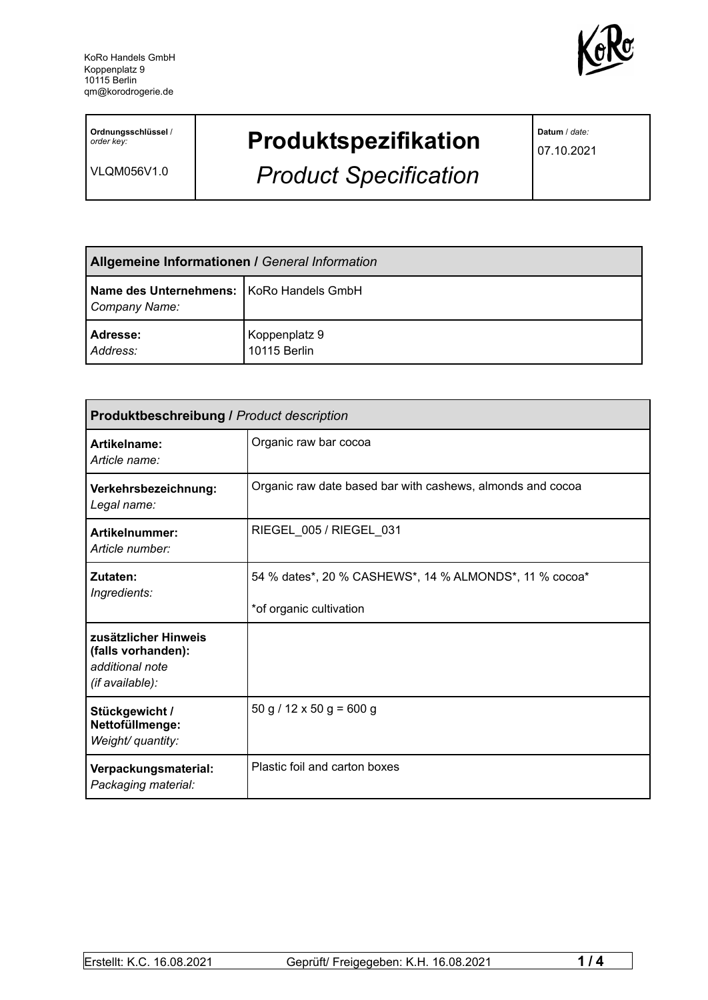

**Ordnungsschlüssel** / *order key:*

VLQM056V1.0

## **Produktspezifikation**

*Product Specification*

**Datum** / *date:*

07.10.2021

| <b>Allgemeine Informationen / General Information</b>       |                               |
|-------------------------------------------------------------|-------------------------------|
| Name des Unternehmens:   KoRo Handels GmbH<br>Company Name: |                               |
| Adresse:<br>Address:                                        | Koppenplatz 9<br>10115 Berlin |

| <b>Produktbeschreibung / Product description</b>                                 |                                                                                   |  |
|----------------------------------------------------------------------------------|-----------------------------------------------------------------------------------|--|
| Artikelname:<br>Article name:                                                    | Organic raw bar cocoa                                                             |  |
| Verkehrsbezeichnung:<br>Legal name:                                              | Organic raw date based bar with cashews, almonds and cocoa                        |  |
| Artikelnummer:<br>Article number:                                                | RIEGEL_005 / RIEGEL_031                                                           |  |
| Zutaten:<br>Ingredients:                                                         | 54 % dates*, 20 % CASHEWS*, 14 % ALMONDS*, 11 % cocoa*<br>*of organic cultivation |  |
| zusätzlicher Hinweis<br>(falls vorhanden):<br>additional note<br>(if available): |                                                                                   |  |
| Stückgewicht /<br>Nettofüllmenge:<br>Weight/ quantity:                           | $50 g / 12 x 50 g = 600 g$                                                        |  |
| Verpackungsmaterial:<br>Packaging material:                                      | Plastic foil and carton boxes                                                     |  |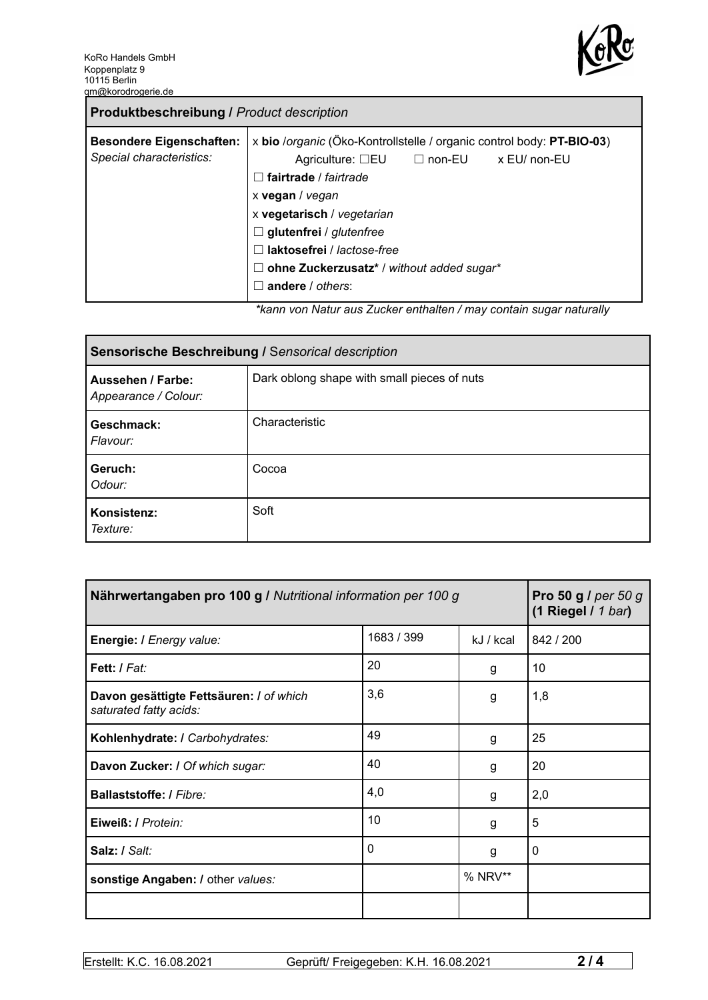

| <b>Produktbeschreibung / Product description</b>            |                                                                                                                                                                                                                                                                                                                                                     |
|-------------------------------------------------------------|-----------------------------------------------------------------------------------------------------------------------------------------------------------------------------------------------------------------------------------------------------------------------------------------------------------------------------------------------------|
| <b>Besondere Eigenschaften:</b><br>Special characteristics: | x bio /organic (Öko-Kontrollstelle / organic control body: PT-BIO-03)<br>x EU/ non-EU<br>Agriculture: $\square$ EU $\square$ non-EU<br>fairtrade / fairtrade<br>x vegan / vegan<br>x vegetarisch / vegetarian<br>$\Box$ glutenfrei / glutenfree<br>laktosefrei / lactose-free<br>ohne Zuckerzusatz* / without added sugar*<br>Ш<br>andere / others: |
|                                                             | ticono uno Aleturezzo Zuelconomikalten (mesucantein euspenaturallur                                                                                                                                                                                                                                                                                 |

*\*kann von Natur aus Zucker enthalten / may contain sugar naturally*

| Sensorische Beschreibung / Sensorical description |                                             |  |
|---------------------------------------------------|---------------------------------------------|--|
| Aussehen / Farbe:<br>Appearance / Colour:         | Dark oblong shape with small pieces of nuts |  |
| Geschmack:<br>Flavour:                            | Characteristic                              |  |
| Geruch:<br>Odour:                                 | Cocoa                                       |  |
| Konsistenz:<br>Texture:                           | Soft                                        |  |

| Nährwertangaben pro 100 g / Nutritional information per 100 g     | Pro 50 g / per 50 g<br>$(1$ Riegel / 1 bar) |           |             |
|-------------------------------------------------------------------|---------------------------------------------|-----------|-------------|
| Energie: I Energy value:                                          | 1683 / 399                                  | kJ / kcal | 842 / 200   |
| <b>Fett:</b> I Fat:                                               | 20                                          | g         | 10          |
| Davon gesättigte Fettsäuren: I of which<br>saturated fatty acids: | 3,6                                         | g         | 1,8         |
| Kohlenhydrate: I Carbohydrates:                                   | 49                                          | g         | 25          |
| Davon Zucker: I Of which sugar:                                   | 40                                          | g         | 20          |
| <b>Ballaststoffe: / Fibre:</b>                                    | 4,0                                         | g         | 2,0         |
| Eiweiß: / Protein:                                                | 10                                          | g         | 5           |
| Salz: / Salt:                                                     | 0                                           | g         | $\mathbf 0$ |
| sonstige Angaben: / other values:                                 |                                             | % NRV**   |             |
|                                                                   |                                             |           |             |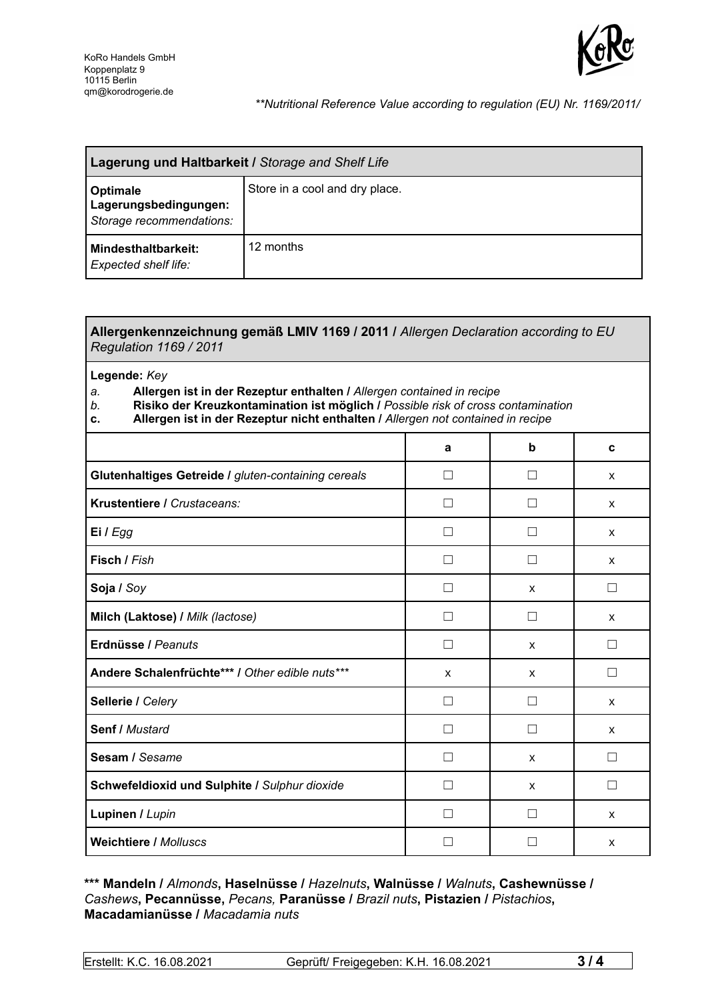

## *\*\*Nutritional Reference Value according to regulation (EU) Nr. 1169/2011/*

| Lagerung und Haltbarkeit / Storage and Shelf Life                    |                                |  |
|----------------------------------------------------------------------|--------------------------------|--|
| <b>Optimale</b><br>Lagerungsbedingungen:<br>Storage recommendations: | Store in a cool and dry place. |  |
| <b>Mindesthaltbarkeit:</b><br><b>Expected shelf life:</b>            | 12 months                      |  |

## **Allergenkennzeichnung gemäß LMIV 1169 / 2011 /** *Allergen Declaration according to EU Regulation 1169 / 2011*

**Legende:** *Key*

*a.* **Allergen ist in der Rezeptur enthalten /** *Allergen contained in recipe*

- *b.* **Risiko der Kreuzkontamination ist möglich /** *Possible risk of cross contamination*
- **c. Allergen ist in der Rezeptur nicht enthalten /** *Allergen not contained in recipe*

|                                                     | a                        | b            | C |
|-----------------------------------------------------|--------------------------|--------------|---|
| Glutenhaltiges Getreide / gluten-containing cereals | П                        | H            | X |
| Krustentiere / Crustaceans:                         |                          |              | X |
| Ei / Egg                                            |                          |              | X |
| Fisch / Fish                                        |                          |              | X |
| Soja / Soy                                          |                          | X            | П |
| Milch (Laktose) / Milk (lactose)                    | П                        | $\Box$       | X |
| Erdnüsse / Peanuts                                  | П                        | X            | □ |
| Andere Schalenfrüchte*** / Other edible nuts***     | X                        | X            | □ |
| Sellerie / Celery                                   | П                        |              | X |
| Senf / Mustard                                      | П                        | $\Box$       | X |
| Sesam / Sesame                                      |                          | X            |   |
| Schwefeldioxid und Sulphite / Sulphur dioxide       | П                        | X            | П |
| Lupinen / Lupin                                     | $\overline{\phantom{a}}$ | $\mathbf{I}$ | X |
| <b>Weichtiere / Molluscs</b>                        |                          |              | X |

## **\*\*\* Mandeln /** *Almonds***, Haselnüsse /** *Hazelnuts***, Walnüsse /** *Walnuts***, Cashewnüsse /** *Cashews***, Pecannüsse,** *Pecans,* **Paranüsse /** *Brazil nuts***, Pistazien /** *Pistachios***, Macadamianüsse /** *Macadamia nuts*